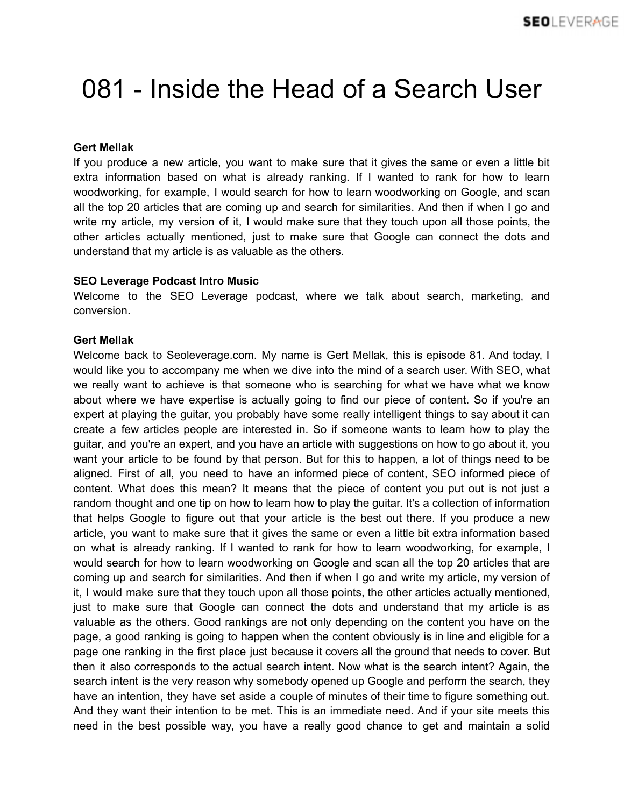## 081 - Inside the Head of a Search User

## **Gert Mellak**

If you produce a new article, you want to make sure that it gives the same or even a little bit extra information based on what is already ranking. If I wanted to rank for how to learn woodworking, for example, I would search for how to learn woodworking on Google, and scan all the top 20 articles that are coming up and search for similarities. And then if when I go and write my article, my version of it, I would make sure that they touch upon all those points, the other articles actually mentioned, just to make sure that Google can connect the dots and understand that my article is as valuable as the others.

## **SEO Leverage Podcast Intro Music**

Welcome to the SEO Leverage podcast, where we talk about search, marketing, and conversion.

## **Gert Mellak**

Welcome back to Seoleverage.com. My name is Gert Mellak, this is episode 81. And today, I would like you to accompany me when we dive into the mind of a search user. With SEO, what we really want to achieve is that someone who is searching for what we have what we know about where we have expertise is actually going to find our piece of content. So if you're an expert at playing the guitar, you probably have some really intelligent things to say about it can create a few articles people are interested in. So if someone wants to learn how to play the guitar, and you're an expert, and you have an article with suggestions on how to go about it, you want your article to be found by that person. But for this to happen, a lot of things need to be aligned. First of all, you need to have an informed piece of content, SEO informed piece of content. What does this mean? It means that the piece of content you put out is not just a random thought and one tip on how to learn how to play the guitar. It's a collection of information that helps Google to figure out that your article is the best out there. If you produce a new article, you want to make sure that it gives the same or even a little bit extra information based on what is already ranking. If I wanted to rank for how to learn woodworking, for example, I would search for how to learn woodworking on Google and scan all the top 20 articles that are coming up and search for similarities. And then if when I go and write my article, my version of it, I would make sure that they touch upon all those points, the other articles actually mentioned, just to make sure that Google can connect the dots and understand that my article is as valuable as the others. Good rankings are not only depending on the content you have on the page, a good ranking is going to happen when the content obviously is in line and eligible for a page one ranking in the first place just because it covers all the ground that needs to cover. But then it also corresponds to the actual search intent. Now what is the search intent? Again, the search intent is the very reason why somebody opened up Google and perform the search, they have an intention, they have set aside a couple of minutes of their time to figure something out. And they want their intention to be met. This is an immediate need. And if your site meets this need in the best possible way, you have a really good chance to get and maintain a solid